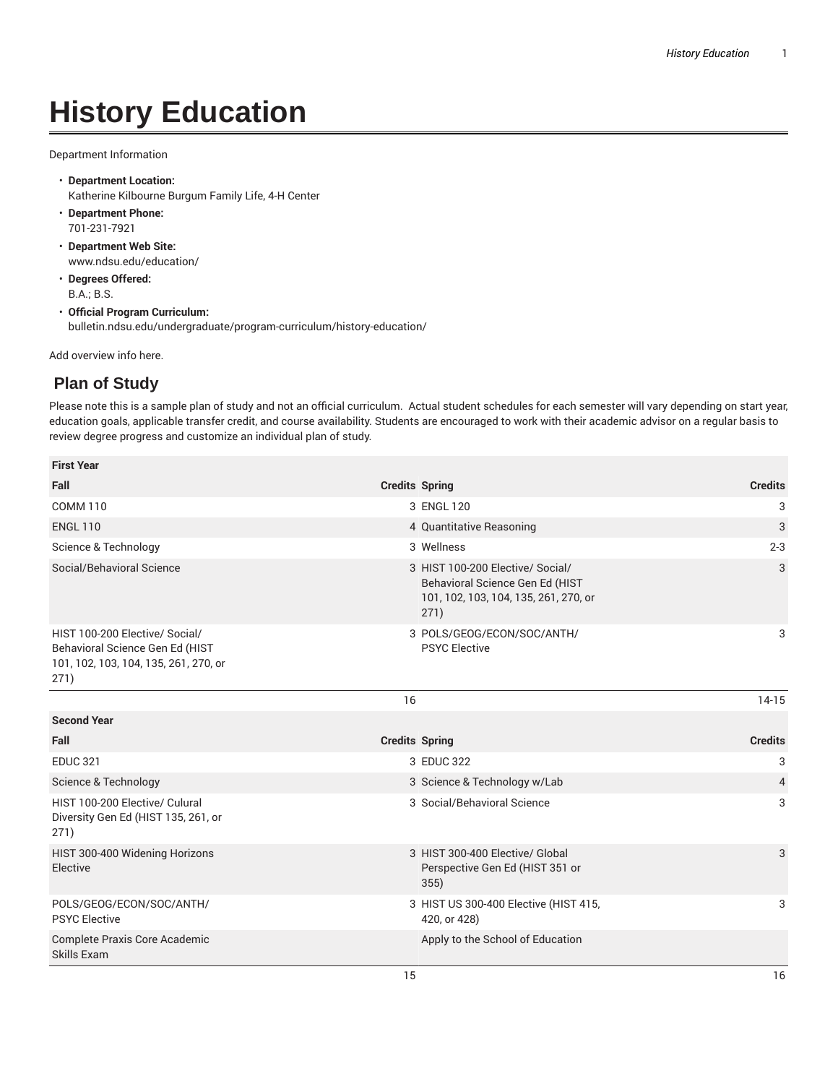## **History Education**

Department Information

- **Department Location:** Katherine Kilbourne Burgum Family Life, 4-H Center
- **Department Phone:** 701-231-7921
- **Department Web Site:** www.ndsu.edu/education/
- **Degrees Offered:** B.A.; B.S.
- **Official Program Curriculum:** bulletin.ndsu.edu/undergraduate/program-curriculum/history-education/

Add overview info here.

## **Plan of Study**

Please note this is a sample plan of study and not an official curriculum. Actual student schedules for each semester will vary depending on start year, education goals, applicable transfer credit, and course availability. Students are encouraged to work with their academic advisor on a regular basis to review degree progress and customize an individual plan of study.

| <b>First Year</b>                                                                                                  |                                                                                                                      |                |
|--------------------------------------------------------------------------------------------------------------------|----------------------------------------------------------------------------------------------------------------------|----------------|
| Fall                                                                                                               | <b>Credits Spring</b>                                                                                                | <b>Credits</b> |
| <b>COMM 110</b>                                                                                                    | 3 ENGL 120                                                                                                           | 3              |
| <b>ENGL 110</b>                                                                                                    | 4 Quantitative Reasoning                                                                                             | 3              |
| Science & Technology                                                                                               | 3 Wellness                                                                                                           | $2 - 3$        |
| Social/Behavioral Science                                                                                          | 3 HIST 100-200 Elective/ Social/<br>Behavioral Science Gen Ed (HIST<br>101, 102, 103, 104, 135, 261, 270, or<br>271) | 3              |
| HIST 100-200 Elective/ Social/<br>Behavioral Science Gen Ed (HIST<br>101, 102, 103, 104, 135, 261, 270, or<br>271) | 3 POLS/GEOG/ECON/SOC/ANTH/<br><b>PSYC Elective</b>                                                                   | 3              |
|                                                                                                                    | 16                                                                                                                   | $14-15$        |
| <b>Second Year</b>                                                                                                 |                                                                                                                      |                |
| Fall                                                                                                               | <b>Credits Spring</b>                                                                                                | <b>Credits</b> |
| <b>EDUC 321</b>                                                                                                    | 3 EDUC 322                                                                                                           | 3              |
| Science & Technology                                                                                               | 3 Science & Technology w/Lab                                                                                         | $\overline{4}$ |
| HIST 100-200 Elective/ Culural<br>Diversity Gen Ed (HIST 135, 261, or<br>271)                                      | 3 Social/Behavioral Science                                                                                          | 3              |
| HIST 300-400 Widening Horizons<br>Elective                                                                         | 3 HIST 300-400 Elective/ Global<br>Perspective Gen Ed (HIST 351 or<br>355)                                           | 3              |
| POLS/GEOG/ECON/SOC/ANTH/<br><b>PSYC Elective</b>                                                                   | 3 HIST US 300-400 Elective (HIST 415,<br>420, or 428)                                                                | 3              |
| Complete Praxis Core Academic<br>Skills Exam                                                                       | Apply to the School of Education                                                                                     |                |